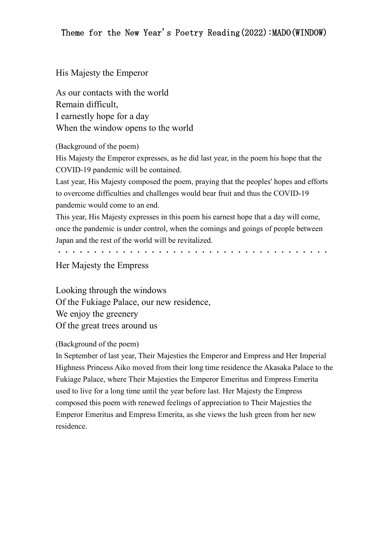His Majesty the Emperor

As our contacts with the world Remain difficult, I earnestly hope for a day When the window opens to the world

(Background of the poem)

His Majesty the Emperor expresses, as he did last year, in the poem his hope that the COVID-19 pandemic will be contained.

Last year, His Majesty composed the poem, praying that the peoples' hopes and efforts to overcome difficulties and challenges would bear fruit and thus the COVID-19 pandemic would come to an end.

This year, His Majesty expresses in this poem his earnest hope that a day will come, once the pandemic is under control, when the comings and goings of people between Japan and the rest of the world will be revitalized.

・・・・・・・・・・・・・・・・・・・・・・・・・・・・・・・・・・・・・・

Her Majesty the Empress

Looking through the windows Of the Fukiage Palace, our new residence, We enjoy the greenery Of the great trees around us

(Background of the poem)

In September of last year, Their Majesties the Emperor and Empress and Her Imperial Highness Princess Aiko moved from their long time residence the Akasaka Palace to the Fukiage Palace, where Their Majesties the Emperor Emeritus and Empress Emerita used to live for a long time until the year before last. Her Majesty the Empress composed this poem with renewed feelings of appreciation to Their Majesties the Emperor Emeritus and Empress Emerita, as she views the lush green from her new residence.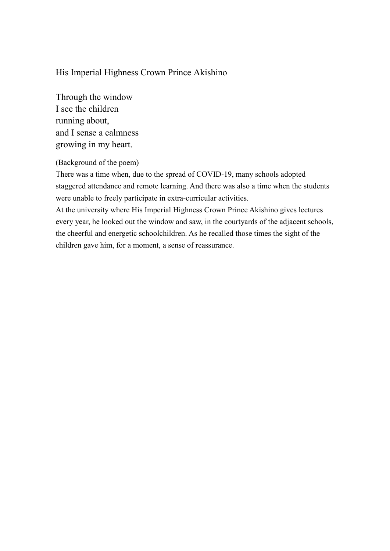## His Imperial Highness Crown Prince Akishino

Through the window I see the children running about, and I sense a calmness growing in my heart.

(Background of the poem)

There was a time when, due to the spread of COVID-19, many schools adopted staggered attendance and remote learning. And there was also a time when the students were unable to freely participate in extra-curricular activities.

At the university where His Imperial Highness Crown Prince Akishino gives lectures every year, he looked out the window and saw, in the courtyards of the adjacent schools, the cheerful and energetic schoolchildren. As he recalled those times the sight of the children gave him, for a moment, a sense of reassurance.